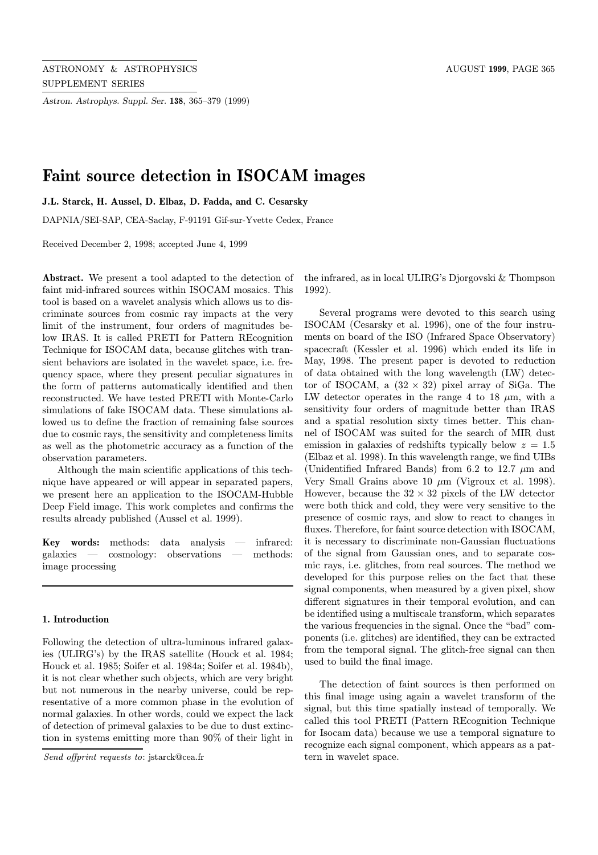Astron. Astrophys. Suppl. Ser. 138, 365–379 (1999)

# Faint source detection in ISOCAM images

J.L. Starck, H. Aussel, D. Elbaz, D. Fadda, and C. Cesarsky

DAPNIA/SEI-SAP, CEA-Saclay, F-91191 Gif-sur-Yvette Cedex, France

Received December 2, 1998; accepted June 4, 1999

Abstract. We present a tool adapted to the detection of faint mid-infrared sources within ISOCAM mosaics. This tool is based on a wavelet analysis which allows us to discriminate sources from cosmic ray impacts at the very limit of the instrument, four orders of magnitudes below IRAS. It is called PRETI for Pattern REcognition Technique for ISOCAM data, because glitches with transient behaviors are isolated in the wavelet space, i.e. frequency space, where they present peculiar signatures in the form of patterns automatically identified and then reconstructed. We have tested PRETI with Monte-Carlo simulations of fake ISOCAM data. These simulations allowed us to define the fraction of remaining false sources due to cosmic rays, the sensitivity and completeness limits as well as the photometric accuracy as a function of the observation parameters.

Although the main scientific applications of this technique have appeared or will appear in separated papers, we present here an application to the ISOCAM-Hubble Deep Field image. This work completes and confirms the results already published (Aussel et al. 1999).

Key words: methods: data analysis — infrared: galaxies — cosmology: observations — methods: image processing

## 1. Introduction

Following the detection of ultra-luminous infrared galaxies (ULIRG's) by the IRAS satellite (Houck et al. 1984; Houck et al. 1985; Soifer et al. 1984a; Soifer et al. 1984b), it is not clear whether such objects, which are very bright but not numerous in the nearby universe, could be representative of a more common phase in the evolution of normal galaxies. In other words, could we expect the lack of detection of primeval galaxies to be due to dust extinction in systems emitting more than 90% of their light in

Send offprint requests to: jstarck@cea.fr

the infrared, as in local ULIRG's Djorgovski & Thompson 1992).

Several programs were devoted to this search using ISOCAM (Cesarsky et al. 1996), one of the four instruments on board of the ISO (Infrared Space Observatory) spacecraft (Kessler et al. 1996) which ended its life in May, 1998. The present paper is devoted to reduction of data obtained with the long wavelength (LW) detector of ISOCAM, a  $(32 \times 32)$  pixel array of SiGa. The LW detector operates in the range 4 to 18  $\mu$ m, with a sensitivity four orders of magnitude better than IRAS and a spatial resolution sixty times better. This channel of ISOCAM was suited for the search of MIR dust emission in galaxies of redshifts typically below  $z = 1.5$ (Elbaz et al. 1998). In this wavelength range, we find UIBs (Unidentified Infrared Bands) from 6.2 to 12.7  $\mu$ m and Very Small Grains above 10  $\mu$ m (Vigroux et al. 1998). However, because the  $32 \times 32$  pixels of the LW detector were both thick and cold, they were very sensitive to the presence of cosmic rays, and slow to react to changes in fluxes. Therefore, for faint source detection with ISOCAM, it is necessary to discriminate non-Gaussian fluctuations of the signal from Gaussian ones, and to separate cosmic rays, i.e. glitches, from real sources. The method we developed for this purpose relies on the fact that these signal components, when measured by a given pixel, show different signatures in their temporal evolution, and can be identified using a multiscale transform, which separates the various frequencies in the signal. Once the "bad" components (i.e. glitches) are identified, they can be extracted from the temporal signal. The glitch-free signal can then used to build the final image.

The detection of faint sources is then performed on this final image using again a wavelet transform of the signal, but this time spatially instead of temporally. We called this tool PRETI (Pattern REcognition Technique for Isocam data) because we use a temporal signature to recognize each signal component, which appears as a pattern in wavelet space.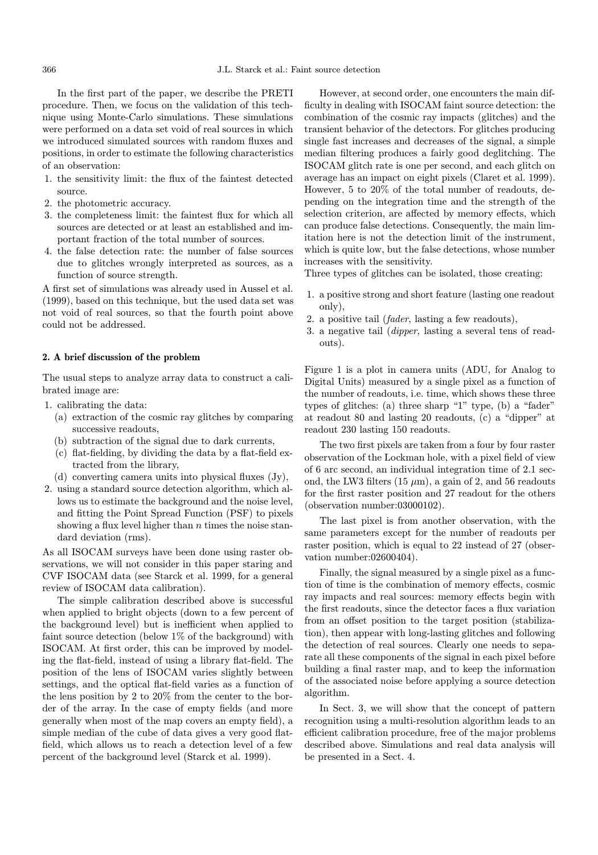In the first part of the paper, we describe the PRETI procedure. Then, we focus on the validation of this technique using Monte-Carlo simulations. These simulations were performed on a data set void of real sources in which we introduced simulated sources with random fluxes and positions, in order to estimate the following characteristics of an observation:

- 1. the sensitivity limit: the flux of the faintest detected source.
- 2. the photometric accuracy.
- 3. the completeness limit: the faintest flux for which all sources are detected or at least an established and important fraction of the total number of sources.
- 4. the false detection rate: the number of false sources due to glitches wrongly interpreted as sources, as a function of source strength.

A first set of simulations was already used in Aussel et al. (1999), based on this technique, but the used data set was not void of real sources, so that the fourth point above could not be addressed.

## 2. A brief discussion of the problem

The usual steps to analyze array data to construct a calibrated image are:

- 1. calibrating the data:
	- (a) extraction of the cosmic ray glitches by comparing successive readouts,
	- (b) subtraction of the signal due to dark currents,
	- (c) flat-fielding, by dividing the data by a flat-field extracted from the library,
	- (d) converting camera units into physical fluxes (Jy),
- 2. using a standard source detection algorithm, which allows us to estimate the background and the noise level, and fitting the Point Spread Function (PSF) to pixels showing a flux level higher than  $n$  times the noise standard deviation (rms).

As all ISOCAM surveys have been done using raster observations, we will not consider in this paper staring and CVF ISOCAM data (see Starck et al. 1999, for a general review of ISOCAM data calibration).

The simple calibration described above is successful when applied to bright objects (down to a few percent of the background level) but is inefficient when applied to faint source detection (below 1% of the background) with ISOCAM. At first order, this can be improved by modeling the flat-field, instead of using a library flat-field. The position of the lens of ISOCAM varies slightly between settings, and the optical flat-field varies as a function of the lens position by 2 to 20% from the center to the border of the array. In the case of empty fields (and more generally when most of the map covers an empty field), a simple median of the cube of data gives a very good flatfield, which allows us to reach a detection level of a few percent of the background level (Starck et al. 1999).

However, at second order, one encounters the main difficulty in dealing with ISOCAM faint source detection: the combination of the cosmic ray impacts (glitches) and the transient behavior of the detectors. For glitches producing single fast increases and decreases of the signal, a simple median filtering produces a fairly good deglitching. The ISOCAM glitch rate is one per second, and each glitch on average has an impact on eight pixels (Claret et al. 1999). However, 5 to 20% of the total number of readouts, depending on the integration time and the strength of the selection criterion, are affected by memory effects, which can produce false detections. Consequently, the main limitation here is not the detection limit of the instrument, which is quite low, but the false detections, whose number increases with the sensitivity.

Three types of glitches can be isolated, those creating:

- 1. a positive strong and short feature (lasting one readout only),
- 2. a positive tail  $(fader, lasting a few readouts),$
- 3. a negative tail (dipper, lasting a several tens of readouts).

Figure 1 is a plot in camera units (ADU, for Analog to Digital Units) measured by a single pixel as a function of the number of readouts, i.e. time, which shows these three types of glitches: (a) three sharp "1" type, (b) a "fader" at readout 80 and lasting 20 readouts, (c) a "dipper" at readout 230 lasting 150 readouts.

The two first pixels are taken from a four by four raster observation of the Lockman hole, with a pixel field of view of 6 arc second, an individual integration time of 2.1 second, the LW3 filters  $(15 \mu m)$ , a gain of 2, and 56 readouts for the first raster position and 27 readout for the others (observation number:03000102).

The last pixel is from another observation, with the same parameters except for the number of readouts per raster position, which is equal to 22 instead of 27 (observation number:02600404).

Finally, the signal measured by a single pixel as a function of time is the combination of memory effects, cosmic ray impacts and real sources: memory effects begin with the first readouts, since the detector faces a flux variation from an offset position to the target position (stabilization), then appear with long-lasting glitches and following the detection of real sources. Clearly one needs to separate all these components of the signal in each pixel before building a final raster map, and to keep the information of the associated noise before applying a source detection algorithm.

In Sect. 3, we will show that the concept of pattern recognition using a multi-resolution algorithm leads to an efficient calibration procedure, free of the major problems described above. Simulations and real data analysis will be presented in a Sect. 4.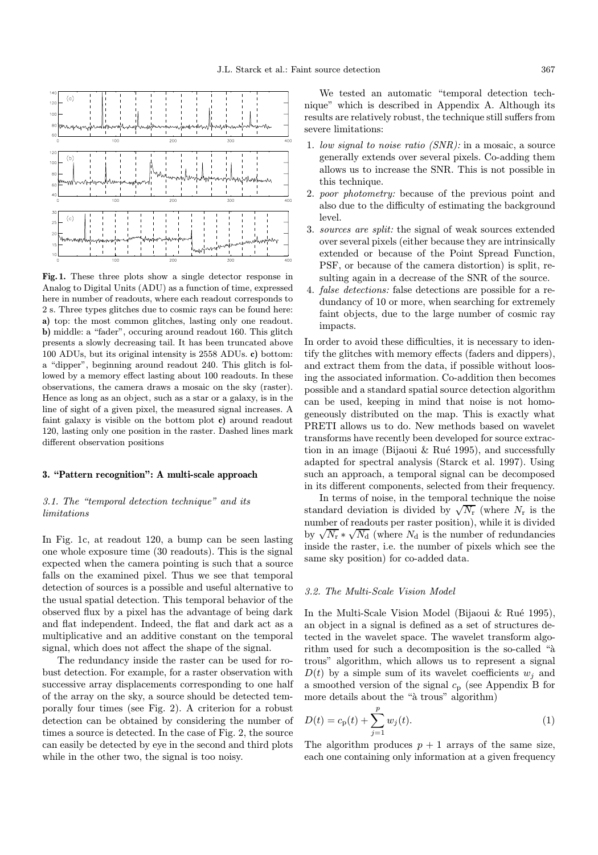

Fig. 1. These three plots show a single detector response in Analog to Digital Units (ADU) as a function of time, expressed here in number of readouts, where each readout corresponds to 2 s. Three types glitches due to cosmic rays can be found here: a) top: the most common glitches, lasting only one readout. b) middle: a "fader", occuring around readout 160. This glitch presents a slowly decreasing tail. It has been truncated above 100 ADUs, but its original intensity is 2558 ADUs. c) bottom: a "dipper", beginning around readout 240. This glitch is followed by a memory effect lasting about 100 readouts. In these observations, the camera draws a mosaic on the sky (raster). Hence as long as an object, such as a star or a galaxy, is in the line of sight of a given pixel, the measured signal increases. A faint galaxy is visible on the bottom plot c) around readout 120, lasting only one position in the raster. Dashed lines mark different observation positions

### 3. "Pattern recognition": A multi-scale approach

# 3.1. The "temporal detection technique" and its limitations

In Fig. 1c, at readout 120, a bump can be seen lasting one whole exposure time (30 readouts). This is the signal expected when the camera pointing is such that a source falls on the examined pixel. Thus we see that temporal detection of sources is a possible and useful alternative to the usual spatial detection. This temporal behavior of the observed flux by a pixel has the advantage of being dark and flat independent. Indeed, the flat and dark act as a multiplicative and an additive constant on the temporal signal, which does not affect the shape of the signal.

The redundancy inside the raster can be used for robust detection. For example, for a raster observation with successive array displacements corresponding to one half of the array on the sky, a source should be detected temporally four times (see Fig. 2). A criterion for a robust detection can be obtained by considering the number of times a source is detected. In the case of Fig. 2, the source can easily be detected by eye in the second and third plots while in the other two, the signal is too noisy.

We tested an automatic "temporal detection technique" which is described in Appendix A. Although its results are relatively robust, the technique still suffers from severe limitations:

- 1. low signal to noise ratio (SNR): in a mosaic, a source generally extends over several pixels. Co-adding them allows us to increase the SNR. This is not possible in this technique.
- 2. poor photometry: because of the previous point and also due to the difficulty of estimating the background level.
- 3. sources are split: the signal of weak sources extended over several pixels (either because they are intrinsically extended or because of the Point Spread Function, PSF, or because of the camera distortion) is split, resulting again in a decrease of the SNR of the source.
- 4. false detections: false detections are possible for a redundancy of 10 or more, when searching for extremely faint objects, due to the large number of cosmic ray impacts.

In order to avoid these difficulties, it is necessary to identify the glitches with memory effects (faders and dippers), and extract them from the data, if possible without loosing the associated information. Co-addition then becomes possible and a standard spatial source detection algorithm can be used, keeping in mind that noise is not homogeneously distributed on the map. This is exactly what PRETI allows us to do. New methods based on wavelet transforms have recently been developed for source extraction in an image (Bijaoui  $\&$  Rué 1995), and successfully adapted for spectral analysis (Starck et al. 1997). Using such an approach, a temporal signal can be decomposed in its different components, selected from their frequency.

In terms of noise, in the temporal technique the noise standard deviation is divided by  $\sqrt{N_r}$  (where  $N_r$  is the number of readouts per raster position), while it is divided by  $\sqrt{N_r} * \sqrt{N_d}$  (where  $N_d$  is the number of redundancies inside the raster, i.e. the number of pixels which see the same sky position) for co-added data.

#### 3.2. The Multi-Scale Vision Model

In the Multi-Scale Vision Model (Bijaoui  $\&$  Rué 1995), an object in a signal is defined as a set of structures detected in the wavelet space. The wavelet transform algorithm used for such a decomposition is the so-called " $\mathbf{\hat{a}}$ " trous" algorithm, which allows us to represent a signal  $D(t)$  by a simple sum of its wavelet coefficients  $w_i$  and a smoothed version of the signal  $c_p$  (see Appendix B for more details about the "à trous" algorithm)

$$
D(t) = c_{\mathbf{p}}(t) + \sum_{j=1}^{p} w_j(t).
$$
 (1)

The algorithm produces  $p + 1$  arrays of the same size, each one containing only information at a given frequency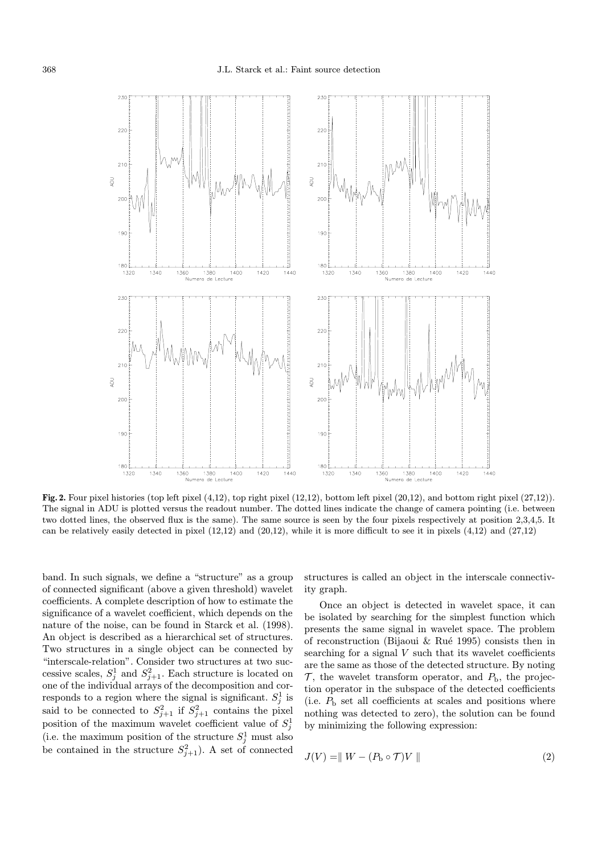

Fig. 2. Four pixel histories (top left pixel  $(4,12)$ , top right pixel  $(12,12)$ , bottom left pixel  $(20,12)$ , and bottom right pixel  $(27,12)$ ). The signal in ADU is plotted versus the readout number. The dotted lines indicate the change of camera pointing (i.e. between two dotted lines, the observed flux is the same). The same source is seen by the four pixels respectively at position 2,3,4,5. It can be relatively easily detected in pixel (12,12) and (20,12), while it is more difficult to see it in pixels (4,12) and (27,12)

band. In such signals, we define a "structure" as a group of connected significant (above a given threshold) wavelet coefficients. A complete description of how to estimate the significance of a wavelet coefficient, which depends on the nature of the noise, can be found in Starck et al. (1998). An object is described as a hierarchical set of structures. Two structures in a single object can be connected by "interscale-relation". Consider two structures at two successive scales,  $S_j^1$  and  $S_{j+1}^2$ . Each structure is located on one of the individual arrays of the decomposition and corresponds to a region where the signal is significant.  $S_j^1$  is said to be connected to  $S_{j+1}^2$  if  $S_{j+1}^2$  contains the pixel position of the maximum wavelet coefficient value of  $S_j^1$ (i.e. the maximum position of the structure  $S_j^1$  must also be contained in the structure  $S_{j+1}^2$ ). A set of connected

structures is called an object in the interscale connectivity graph.

Once an object is detected in wavelet space, it can be isolated by searching for the simplest function which presents the same signal in wavelet space. The problem of reconstruction (Bijaoui & Rué 1995) consists then in searching for a signal  $V$  such that its wavelet coefficients are the same as those of the detected structure. By noting  $\mathcal{T}$ , the wavelet transform operator, and  $P_{\rm b}$ , the projection operator in the subspace of the detected coefficients (i.e.  $P_{\rm b}$  set all coefficients at scales and positions where nothing was detected to zero), the solution can be found by minimizing the following expression:

$$
J(V) = \| W - (P_b \circ \mathcal{T})V \|
$$
\n<sup>(2)</sup>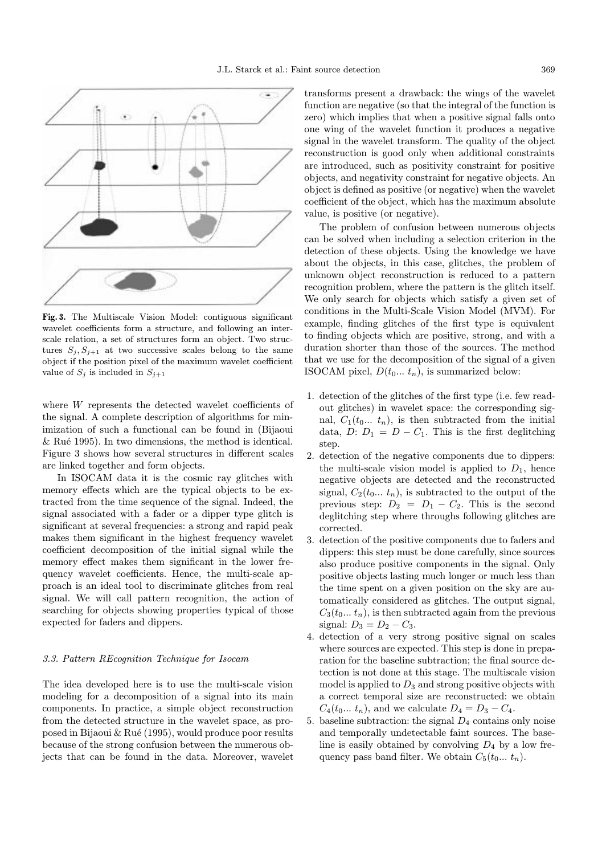

Fig. 3. The Multiscale Vision Model: contiguous significant wavelet coefficients form a structure, and following an interscale relation, a set of structures form an object. Two structures  $S_j, S_{j+1}$  at two successive scales belong to the same object if the position pixel of the maximum wavelet coefficient value of  $S_i$  is included in  $S_{i+1}$ 

where W represents the detected wavelet coefficients of the signal. A complete description of algorithms for minimization of such a functional can be found in (Bijaoui  $\&$  Rué 1995). In two dimensions, the method is identical. Figure 3 shows how several structures in different scales are linked together and form objects.

In ISOCAM data it is the cosmic ray glitches with memory effects which are the typical objects to be extracted from the time sequence of the signal. Indeed, the signal associated with a fader or a dipper type glitch is significant at several frequencies: a strong and rapid peak makes them significant in the highest frequency wavelet coefficient decomposition of the initial signal while the memory effect makes them significant in the lower frequency wavelet coefficients. Hence, the multi-scale approach is an ideal tool to discriminate glitches from real signal. We will call pattern recognition, the action of searching for objects showing properties typical of those expected for faders and dippers.

## 3.3. Pattern REcognition Technique for Isocam

The idea developed here is to use the multi-scale vision modeling for a decomposition of a signal into its main components. In practice, a simple object reconstruction from the detected structure in the wavelet space, as proposed in Bijaoui & Rué (1995), would produce poor results because of the strong confusion between the numerous objects that can be found in the data. Moreover, wavelet transforms present a drawback: the wings of the wavelet function are negative (so that the integral of the function is zero) which implies that when a positive signal falls onto one wing of the wavelet function it produces a negative signal in the wavelet transform. The quality of the object reconstruction is good only when additional constraints are introduced, such as positivity constraint for positive objects, and negativity constraint for negative objects. An object is defined as positive (or negative) when the wavelet coefficient of the object, which has the maximum absolute value, is positive (or negative).

The problem of confusion between numerous objects can be solved when including a selection criterion in the detection of these objects. Using the knowledge we have about the objects, in this case, glitches, the problem of unknown object reconstruction is reduced to a pattern recognition problem, where the pattern is the glitch itself. We only search for objects which satisfy a given set of conditions in the Multi-Scale Vision Model (MVM). For example, finding glitches of the first type is equivalent to finding objects which are positive, strong, and with a duration shorter than those of the sources. The method that we use for the decomposition of the signal of a given ISOCAM pixel,  $D(t_0... t_n)$ , is summarized below:

- 1. detection of the glitches of the first type (i.e. few readout glitches) in wavelet space: the corresponding signal,  $C_1(t_0... t_n)$ , is then subtracted from the initial data,  $D: D_1 = D - C_1$ . This is the first deglitching step.
- 2. detection of the negative components due to dippers: the multi-scale vision model is applied to  $D_1$ , hence negative objects are detected and the reconstructed signal,  $C_2(t_0... t_n)$ , is subtracted to the output of the previous step:  $D_2 = D_1 - C_2$ . This is the second deglitching step where throughs following glitches are corrected.
- 3. detection of the positive components due to faders and dippers: this step must be done carefully, since sources also produce positive components in the signal. Only positive objects lasting much longer or much less than the time spent on a given position on the sky are automatically considered as glitches. The output signal,  $C_3(t_0... t_n)$ , is then subtracted again from the previous signal:  $D_3 = D_2 - C_3$ .
- 4. detection of a very strong positive signal on scales where sources are expected. This step is done in preparation for the baseline subtraction; the final source detection is not done at this stage. The multiscale vision model is applied to  $D_3$  and strong positive objects with a correct temporal size are reconstructed: we obtain  $C_4(t_0... t_n)$ , and we calculate  $D_4 = D_3 - C_4$ .
- 5. baseline subtraction: the signal  $D_4$  contains only noise and temporally undetectable faint sources. The baseline is easily obtained by convolving  $D_4$  by a low frequency pass band filter. We obtain  $C_5(t_0... t_n)$ .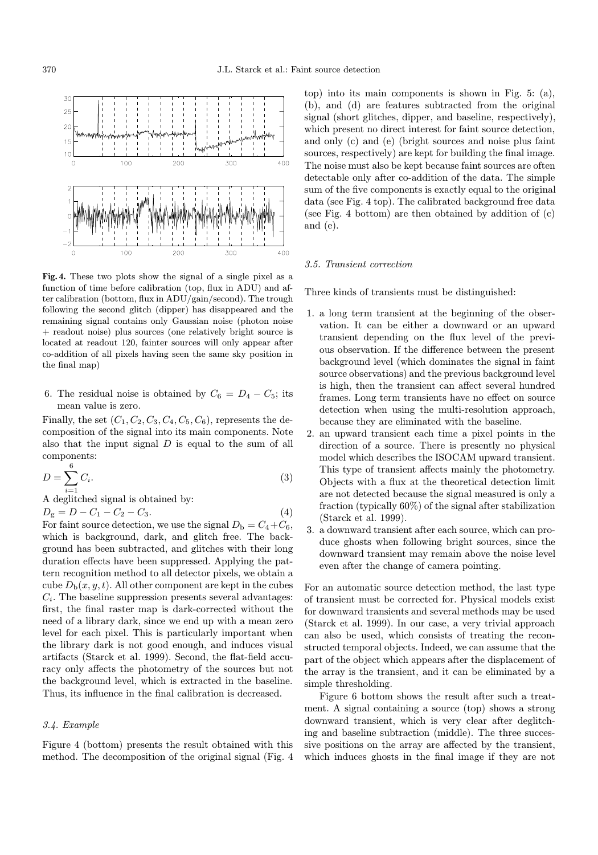

Fig. 4. These two plots show the signal of a single pixel as a function of time before calibration (top, flux in ADU) and after calibration (bottom, flux in ADU/gain/second). The trough following the second glitch (dipper) has disappeared and the remaining signal contains only Gaussian noise (photon noise + readout noise) plus sources (one relatively bright source is located at readout 120, fainter sources will only appear after co-addition of all pixels having seen the same sky position in the final map)

6. The residual noise is obtained by  $C_6 = D_4 - C_5$ ; its mean value is zero.

Finally, the set  $(C_1, C_2, C_3, C_4, C_5, C_6)$ , represents the decomposition of the signal into its main components. Note also that the input signal  $D$  is equal to the sum of all components:

$$
D = \sum_{i=1}^{6} C_i.
$$
\n
$$
(3)
$$

A deglitched signal is obtained by:

 $D_{\rm g} = D - C_1 - C_2 - C_3.$  (4)

For faint source detection, we use the signal  $D_{\rm b} = C_4+C_6$ , which is background, dark, and glitch free. The background has been subtracted, and glitches with their long duration effects have been suppressed. Applying the pattern recognition method to all detector pixels, we obtain a cube  $D_{\rm b}(x, y, t)$ . All other component are kept in the cubes  $C_i$ . The baseline suppression presents several advantages: first, the final raster map is dark-corrected without the need of a library dark, since we end up with a mean zero level for each pixel. This is particularly important when the library dark is not good enough, and induces visual artifacts (Starck et al. 1999). Second, the flat-field accuracy only affects the photometry of the sources but not the background level, which is extracted in the baseline. Thus, its influence in the final calibration is decreased.

## 3.4. Example

Figure 4 (bottom) presents the result obtained with this method. The decomposition of the original signal (Fig. 4

top) into its main components is shown in Fig. 5: (a), (b), and (d) are features subtracted from the original signal (short glitches, dipper, and baseline, respectively), which present no direct interest for faint source detection, and only (c) and (e) (bright sources and noise plus faint sources, respectively) are kept for building the final image. The noise must also be kept because faint sources are often detectable only after co-addition of the data. The simple sum of the five components is exactly equal to the original data (see Fig. 4 top). The calibrated background free data (see Fig. 4 bottom) are then obtained by addition of (c) and (e).

#### 3.5. Transient correction

Three kinds of transients must be distinguished:

- 1. a long term transient at the beginning of the observation. It can be either a downward or an upward transient depending on the flux level of the previous observation. If the difference between the present background level (which dominates the signal in faint source observations) and the previous background level is high, then the transient can affect several hundred frames. Long term transients have no effect on source detection when using the multi-resolution approach, because they are eliminated with the baseline.
- 2. an upward transient each time a pixel points in the direction of a source. There is presently no physical model which describes the ISOCAM upward transient. This type of transient affects mainly the photometry. Objects with a flux at the theoretical detection limit are not detected because the signal measured is only a fraction (typically 60%) of the signal after stabilization (Starck et al. 1999).
- 3. a downward transient after each source, which can produce ghosts when following bright sources, since the downward transient may remain above the noise level even after the change of camera pointing.

For an automatic source detection method, the last type of transient must be corrected for. Physical models exist for downward transients and several methods may be used (Starck et al. 1999). In our case, a very trivial approach can also be used, which consists of treating the reconstructed temporal objects. Indeed, we can assume that the part of the object which appears after the displacement of the array is the transient, and it can be eliminated by a simple thresholding.

Figure 6 bottom shows the result after such a treatment. A signal containing a source (top) shows a strong downward transient, which is very clear after deglitching and baseline subtraction (middle). The three successive positions on the array are affected by the transient, which induces ghosts in the final image if they are not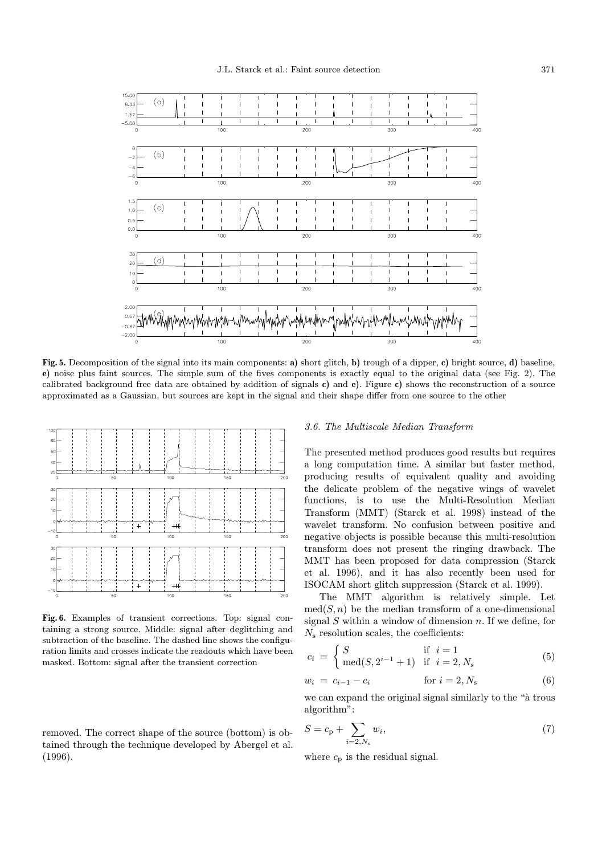

Fig. 5. Decomposition of the signal into its main components: a) short glitch, b) trough of a dipper, c) bright source, d) baseline, e) noise plus faint sources. The simple sum of the fives components is exactly equal to the original data (see Fig. 2). The calibrated background free data are obtained by addition of signals c) and e). Figure c) shows the reconstruction of a source approximated as a Gaussian, but sources are kept in the signal and their shape differ from one source to the other



Fig. 6. Examples of transient corrections. Top: signal containing a strong source. Middle: signal after deglitching and subtraction of the baseline. The dashed line shows the configuration limits and crosses indicate the readouts which have been masked. Bottom: signal after the transient correction

removed. The correct shape of the source (bottom) is obtained through the technique developed by Abergel et al. (1996).

#### 3.6. The Multiscale Median Transform

The presented method produces good results but requires a long computation time. A similar but faster method, producing results of equivalent quality and avoiding the delicate problem of the negative wings of wavelet functions, is to use the Multi-Resolution Median Transform (MMT) (Starck et al. 1998) instead of the wavelet transform. No confusion between positive and negative objects is possible because this multi-resolution transform does not present the ringing drawback. The MMT has been proposed for data compression (Starck et al. 1996), and it has also recently been used for ISOCAM short glitch suppression (Starck et al. 1999).

The MMT algorithm is relatively simple. Let  $med(S, n)$  be the median transform of a one-dimensional signal  $S$  within a window of dimension  $n$ . If we define, for  $N<sub>s</sub>$  resolution scales, the coefficients:

$$
c_i = \begin{cases} S & \text{if } i = 1\\ \text{med}(S, 2^{i-1} + 1) & \text{if } i = 2, N_s \end{cases}
$$
(5)

$$
w_i = c_{i-1} - c_i \t\t for \t i = 2, N_s \t\t (6)
$$

we can expand the original signal similarly to the " $\alpha$  trous" algorithm":

$$
S = c_{\rm p} + \sum_{i=2, N_{\rm s}} w_i,
$$
\n(7)

where  $c_p$  is the residual signal.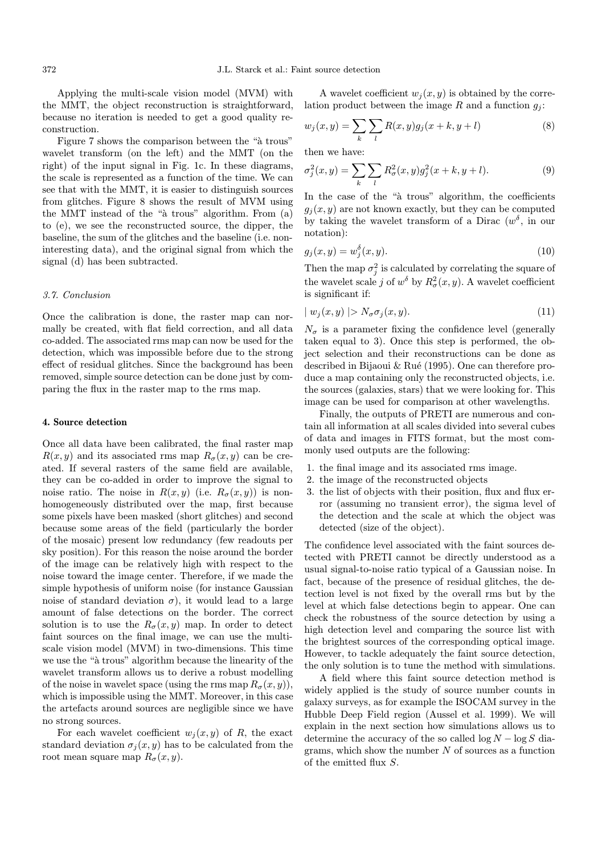Applying the multi-scale vision model (MVM) with the MMT, the object reconstruction is straightforward, because no iteration is needed to get a good quality reconstruction.

Figure 7 shows the comparison between the " $\hat{a}$  trous" wavelet transform (on the left) and the MMT (on the right) of the input signal in Fig. 1c. In these diagrams, the scale is represented as a function of the time. We can see that with the MMT, it is easier to distinguish sources from glitches. Figure 8 shows the result of MVM using the MMT instead of the " $\hat{a}$  trous" algorithm. From  $(a)$ to (e), we see the reconstructed source, the dipper, the baseline, the sum of the glitches and the baseline (i.e. noninteresting data), and the original signal from which the signal (d) has been subtracted.

#### 3.7. Conclusion

Once the calibration is done, the raster map can normally be created, with flat field correction, and all data co-added. The associated rms map can now be used for the detection, which was impossible before due to the strong effect of residual glitches. Since the background has been removed, simple source detection can be done just by comparing the flux in the raster map to the rms map.

#### 4. Source detection

Once all data have been calibrated, the final raster map  $R(x, y)$  and its associated rms map  $R_{\sigma}(x, y)$  can be created. If several rasters of the same field are available, they can be co-added in order to improve the signal to noise ratio. The noise in  $R(x, y)$  (i.e.  $R_{\sigma}(x, y)$ ) is nonhomogeneously distributed over the map, first because some pixels have been masked (short glitches) and second because some areas of the field (particularly the border of the mosaic) present low redundancy (few readouts per sky position). For this reason the noise around the border of the image can be relatively high with respect to the noise toward the image center. Therefore, if we made the simple hypothesis of uniform noise (for instance Gaussian noise of standard deviation  $\sigma$ ), it would lead to a large amount of false detections on the border. The correct solution is to use the  $R_{\sigma}(x, y)$  map. In order to detect faint sources on the final image, we can use the multiscale vision model (MVM) in two-dimensions. This time we use the " $\alpha$  trous" algorithm because the linearity of the wavelet transform allows us to derive a robust modelling of the noise in wavelet space (using the rms map  $R_{\sigma}(x, y)$ ), which is impossible using the MMT. Moreover, in this case the artefacts around sources are negligible since we have no strong sources.

For each wavelet coefficient  $w_j(x, y)$  of R, the exact standard deviation  $\sigma_j(x, y)$  has to be calculated from the root mean square map  $R_{\sigma}(x, y)$ .

A wavelet coefficient  $w_i(x, y)$  is obtained by the correlation product between the image R and a function  $q_i$ :

$$
w_j(x, y) = \sum_{k} \sum_{l} R(x, y) g_j(x + k, y + l)
$$
 (8)

then we have:

$$
\sigma_j^2(x, y) = \sum_k \sum_l R_{\sigma}^2(x, y) g_j^2(x + k, y + l).
$$
 (9)

In the case of the "à trous" algorithm, the coefficients  $g_i(x, y)$  are not known exactly, but they can be computed by taking the wavelet transform of a Dirac  $(w^{\delta})$ , in our notation):

$$
g_j(x, y) = w_j^{\delta}(x, y). \tag{10}
$$

Then the map  $\sigma_j^2$  is calculated by correlating the square of the wavelet scale j of  $w^{\delta}$  by  $R^2_{\sigma}(x, y)$ . A wavelet coefficient is significant if:

$$
| w_j(x, y) | > N_\sigma \sigma_j(x, y). \tag{11}
$$

 $N_{\sigma}$  is a parameter fixing the confidence level (generally taken equal to 3). Once this step is performed, the object selection and their reconstructions can be done as described in Bijaoui & Rué (1995). One can therefore produce a map containing only the reconstructed objects, i.e. the sources (galaxies, stars) that we were looking for. This image can be used for comparison at other wavelengths.

Finally, the outputs of PRETI are numerous and contain all information at all scales divided into several cubes of data and images in FITS format, but the most commonly used outputs are the following:

- 1. the final image and its associated rms image.
- 2. the image of the reconstructed objects
- 3. the list of objects with their position, flux and flux error (assuming no transient error), the sigma level of the detection and the scale at which the object was detected (size of the object).

The confidence level associated with the faint sources detected with PRETI cannot be directly understood as a usual signal-to-noise ratio typical of a Gaussian noise. In fact, because of the presence of residual glitches, the detection level is not fixed by the overall rms but by the level at which false detections begin to appear. One can check the robustness of the source detection by using a high detection level and comparing the source list with the brightest sources of the corresponding optical image. However, to tackle adequately the faint source detection, the only solution is to tune the method with simulations.

A field where this faint source detection method is widely applied is the study of source number counts in galaxy surveys, as for example the ISOCAM survey in the Hubble Deep Field region (Aussel et al. 1999). We will explain in the next section how simulations allows us to determine the accuracy of the so called  $\log N - \log S$  diagrams, which show the number  $N$  of sources as a function of the emitted flux S.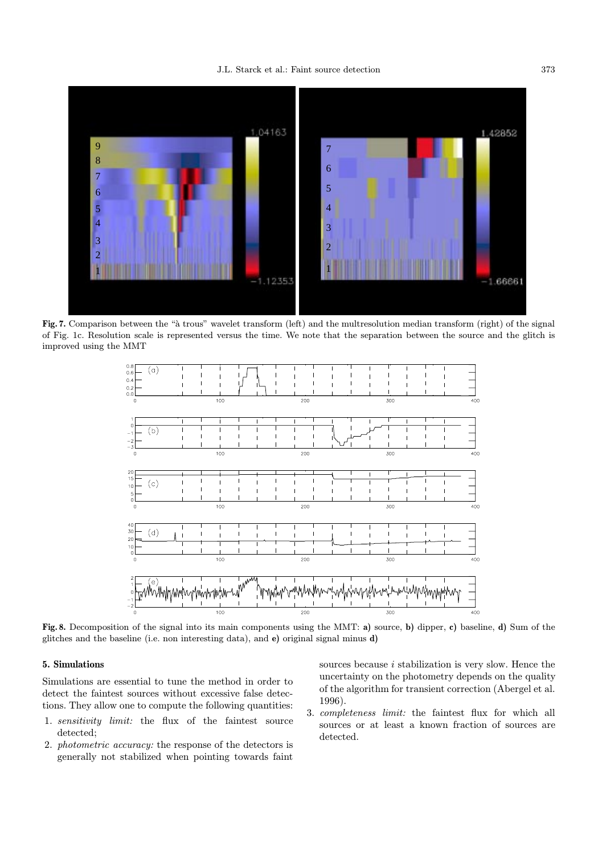## J.L. Starck et al.: Faint source detection 373



Fig. 7. Comparison between the "à trous" wavelet transform (left) and the multresolution median transform (right) of the signal of Fig. 1c. Resolution scale is represented versus the time. We note that the separation between the source and the glitch is improved using the MMT



Fig. 8. Decomposition of the signal into its main components using the MMT: a) source, b) dipper, c) baseline, d) Sum of the glitches and the baseline (i.e. non interesting data), and e) original signal minus d)

# 5. Simulations

Simulations are essential to tune the method in order to detect the faintest sources without excessive false detections. They allow one to compute the following quantities:

- 1. sensitivity limit: the flux of the faintest source detected;
- 2. photometric accuracy: the response of the detectors is generally not stabilized when pointing towards faint

sources because  $i$  stabilization is very slow. Hence the uncertainty on the photometry depends on the quality of the algorithm for transient correction (Abergel et al. 1996).

3. completeness limit: the faintest flux for which all sources or at least a known fraction of sources are detected.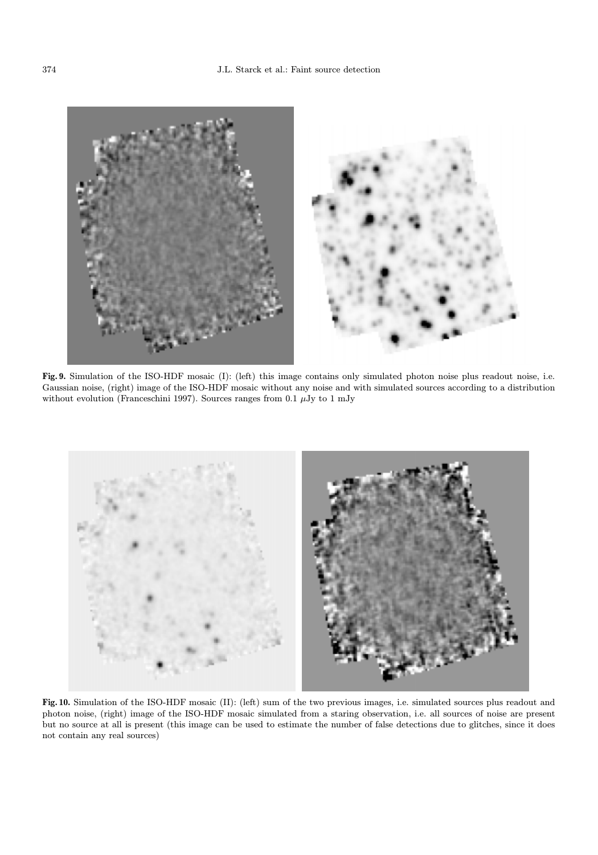

Fig. 9. Simulation of the ISO-HDF mosaic (I): (left) this image contains only simulated photon noise plus readout noise, i.e. Gaussian noise, (right) image of the ISO-HDF mosaic without any noise and with simulated sources according to a distribution without evolution (Franceschini 1997). Sources ranges from 0.1  $\mu$ Jy to 1 mJy



Fig. 10. Simulation of the ISO-HDF mosaic (II): (left) sum of the two previous images, i.e. simulated sources plus readout and photon noise, (right) image of the ISO-HDF mosaic simulated from a staring observation, i.e. all sources of noise are present but no source at all is present (this image can be used to estimate the number of false detections due to glitches, since it does not contain any real sources)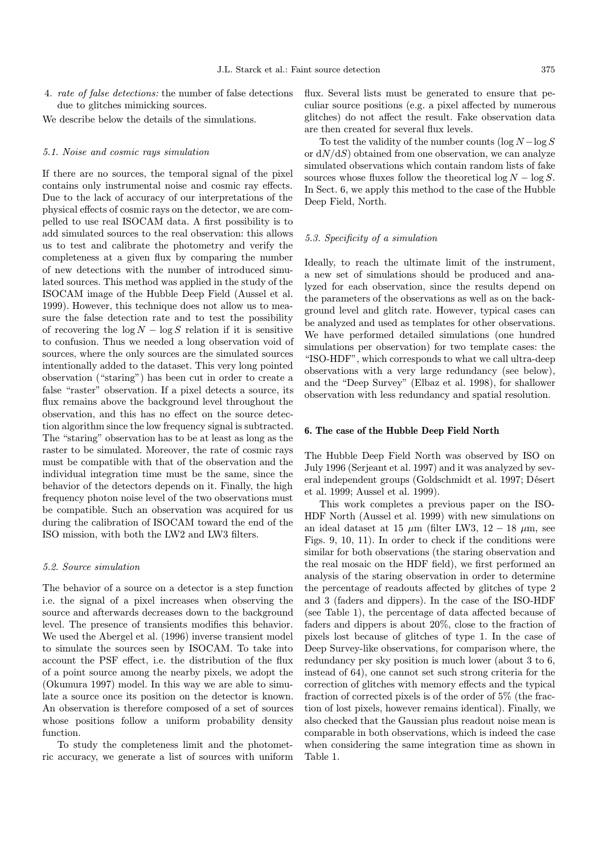4. rate of false detections: the number of false detections due to glitches mimicking sources.

We describe below the details of the simulations.

#### 5.1. Noise and cosmic rays simulation

If there are no sources, the temporal signal of the pixel contains only instrumental noise and cosmic ray effects. Due to the lack of accuracy of our interpretations of the physical effects of cosmic rays on the detector, we are compelled to use real ISOCAM data. A first possibility is to add simulated sources to the real observation: this allows us to test and calibrate the photometry and verify the completeness at a given flux by comparing the number of new detections with the number of introduced simulated sources. This method was applied in the study of the ISOCAM image of the Hubble Deep Field (Aussel et al. 1999). However, this technique does not allow us to measure the false detection rate and to test the possibility of recovering the  $\log N - \log S$  relation if it is sensitive to confusion. Thus we needed a long observation void of sources, where the only sources are the simulated sources intentionally added to the dataset. This very long pointed observation ("staring") has been cut in order to create a false "raster" observation. If a pixel detects a source, its flux remains above the background level throughout the observation, and this has no effect on the source detection algorithm since the low frequency signal is subtracted. The "staring" observation has to be at least as long as the raster to be simulated. Moreover, the rate of cosmic rays must be compatible with that of the observation and the individual integration time must be the same, since the behavior of the detectors depends on it. Finally, the high frequency photon noise level of the two observations must be compatible. Such an observation was acquired for us during the calibration of ISOCAM toward the end of the ISO mission, with both the LW2 and LW3 filters.

#### 5.2. Source simulation

The behavior of a source on a detector is a step function i.e. the signal of a pixel increases when observing the source and afterwards decreases down to the background level. The presence of transients modifies this behavior. We used the Abergel et al. (1996) inverse transient model to simulate the sources seen by ISOCAM. To take into account the PSF effect, i.e. the distribution of the flux of a point source among the nearby pixels, we adopt the (Okumura 1997) model. In this way we are able to simulate a source once its position on the detector is known. An observation is therefore composed of a set of sources whose positions follow a uniform probability density function.

To study the completeness limit and the photometric accuracy, we generate a list of sources with uniform flux. Several lists must be generated to ensure that peculiar source positions (e.g. a pixel affected by numerous glitches) do not affect the result. Fake observation data are then created for several flux levels.

To test the validity of the number counts  $(\log N - \log S)$ or  $dN/dS$ ) obtained from one observation, we can analyze simulated observations which contain random lists of fake sources whose fluxes follow the theoretical  $\log N - \log S$ . In Sect. 6, we apply this method to the case of the Hubble Deep Field, North.

### 5.3. Specificity of a simulation

Ideally, to reach the ultimate limit of the instrument, a new set of simulations should be produced and analyzed for each observation, since the results depend on the parameters of the observations as well as on the background level and glitch rate. However, typical cases can be analyzed and used as templates for other observations. We have performed detailed simulations (one hundred simulations per observation) for two template cases: the "ISO-HDF", which corresponds to what we call ultra-deep observations with a very large redundancy (see below), and the "Deep Survey" (Elbaz et al. 1998), for shallower observation with less redundancy and spatial resolution.

#### 6. The case of the Hubble Deep Field North

The Hubble Deep Field North was observed by ISO on July 1996 (Serjeant et al. 1997) and it was analyzed by several independent groups (Goldschmidt et al. 1997; Désert et al. 1999; Aussel et al. 1999).

This work completes a previous paper on the ISO-HDF North (Aussel et al. 1999) with new simulations on an ideal dataset at 15  $\mu$ m (filter LW3, 12 – 18  $\mu$ m, see Figs. 9, 10, 11). In order to check if the conditions were similar for both observations (the staring observation and the real mosaic on the HDF field), we first performed an analysis of the staring observation in order to determine the percentage of readouts affected by glitches of type 2 and 3 (faders and dippers). In the case of the ISO-HDF (see Table 1), the percentage of data affected because of faders and dippers is about 20%, close to the fraction of pixels lost because of glitches of type 1. In the case of Deep Survey-like observations, for comparison where, the redundancy per sky position is much lower (about 3 to 6, instead of 64), one cannot set such strong criteria for the correction of glitches with memory effects and the typical fraction of corrected pixels is of the order of 5% (the fraction of lost pixels, however remains identical). Finally, we also checked that the Gaussian plus readout noise mean is comparable in both observations, which is indeed the case when considering the same integration time as shown in Table 1.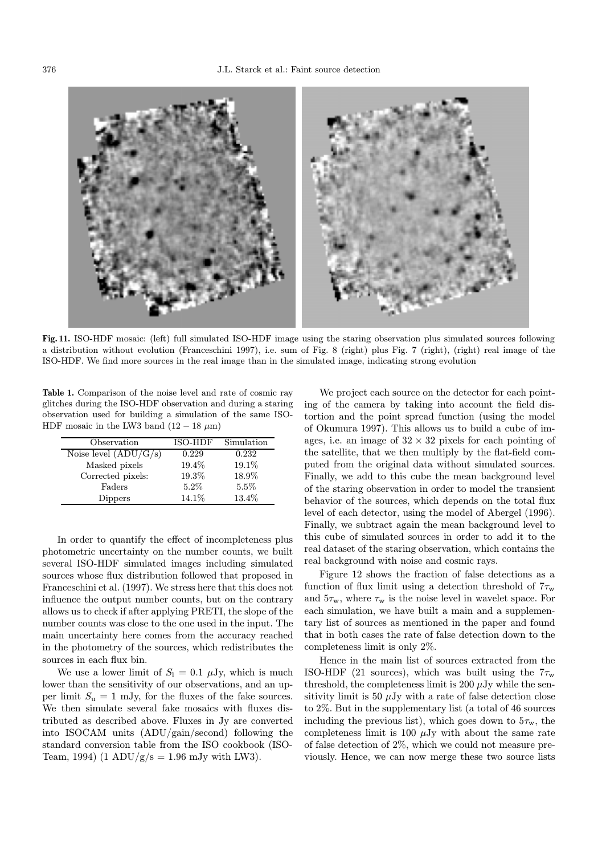

Fig. 11. ISO-HDF mosaic: (left) full simulated ISO-HDF image using the staring observation plus simulated sources following a distribution without evolution (Franceschini 1997), i.e. sum of Fig. 8 (right) plus Fig. 7 (right), (right) real image of the ISO-HDF. We find more sources in the real image than in the simulated image, indicating strong evolution

Table 1. Comparison of the noise level and rate of cosmic ray glitches during the ISO-HDF observation and during a staring observation used for building a simulation of the same ISO-HDF mosaic in the LW3 band  $(12 - 18 \mu m)$ 

| Observation             | ISO-HDF | Simulation |
|-------------------------|---------|------------|
| Noise level $(ADU/G/s)$ | 0.229   | 0.232      |
| Masked pixels           | 19.4%   | 19.1%      |
| Corrected pixels:       | 19.3%   | 18.9%      |
| Faders                  | $5.2\%$ | $5.5\%$    |
| Dippers                 | 14.1%   | 13.4%      |

In order to quantify the effect of incompleteness plus photometric uncertainty on the number counts, we built several ISO-HDF simulated images including simulated sources whose flux distribution followed that proposed in Franceschini et al. (1997). We stress here that this does not influence the output number counts, but on the contrary allows us to check if after applying PRETI, the slope of the number counts was close to the one used in the input. The main uncertainty here comes from the accuracy reached in the photometry of the sources, which redistributes the sources in each flux bin.

We use a lower limit of  $S_1 = 0.1 \mu Jy$ , which is much lower than the sensitivity of our observations, and an upper limit  $S_u = 1$  mJy, for the fluxes of the fake sources. We then simulate several fake mosaics with fluxes distributed as described above. Fluxes in Jy are converted into ISOCAM units (ADU/gain/second) following the standard conversion table from the ISO cookbook (ISO-Team, 1994) (1 ADU/g/s = 1.96 mJy with LW3).

We project each source on the detector for each pointing of the camera by taking into account the field distortion and the point spread function (using the model of Okumura 1997). This allows us to build a cube of images, i.e. an image of  $32 \times 32$  pixels for each pointing of the satellite, that we then multiply by the flat-field computed from the original data without simulated sources. Finally, we add to this cube the mean background level of the staring observation in order to model the transient behavior of the sources, which depends on the total flux level of each detector, using the model of Abergel (1996). Finally, we subtract again the mean background level to this cube of simulated sources in order to add it to the real dataset of the staring observation, which contains the real background with noise and cosmic rays.

Figure 12 shows the fraction of false detections as a function of flux limit using a detection threshold of  $7\tau_{\rm w}$ and  $5\tau_{\rm w}$ , where  $\tau_{\rm w}$  is the noise level in wavelet space. For each simulation, we have built a main and a supplementary list of sources as mentioned in the paper and found that in both cases the rate of false detection down to the completeness limit is only 2%.

Hence in the main list of sources extracted from the ISO-HDF (21 sources), which was built using the  $7\tau_{\rm w}$ threshold, the completeness limit is 200  $\mu$ Jy while the sensitivity limit is 50  $\mu$ Jy with a rate of false detection close to 2%. But in the supplementary list (a total of 46 sources including the previous list), which goes down to  $5\tau_{\rm w}$ , the completeness limit is 100  $\mu$ Jy with about the same rate of false detection of 2%, which we could not measure previously. Hence, we can now merge these two source lists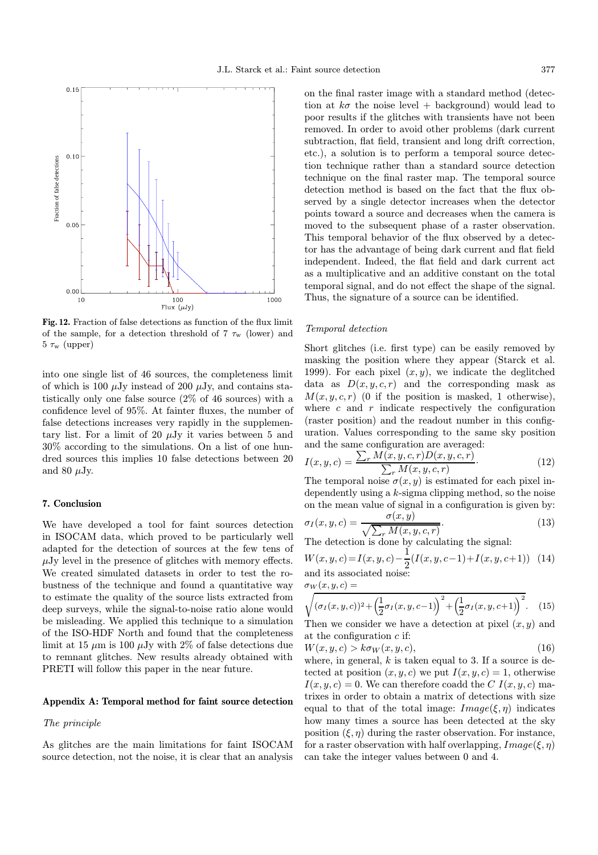

Fig. 12. Fraction of false detections as function of the flux limit of the sample, for a detection threshold of  $7 \tau_{\rm w}$  (lower) and  $5 \tau_{\rm w}$  (upper)

into one single list of 46 sources, the completeness limit of which is 100  $\mu$ Jy instead of 200  $\mu$ Jy, and contains statistically only one false source (2% of 46 sources) with a confidence level of 95%. At fainter fluxes, the number of false detections increases very rapidly in the supplementary list. For a limit of 20  $\mu$ Jy it varies between 5 and 30% according to the simulations. On a list of one hundred sources this implies 10 false detections between 20 and 80  $\mu$ Jy.

## 7. Conclusion

We have developed a tool for faint sources detection in ISOCAM data, which proved to be particularly well adapted for the detection of sources at the few tens of  $\mu$ Jy level in the presence of glitches with memory effects. We created simulated datasets in order to test the robustness of the technique and found a quantitative way to estimate the quality of the source lists extracted from deep surveys, while the signal-to-noise ratio alone would be misleading. We applied this technique to a simulation of the ISO-HDF North and found that the completeness limit at 15  $\mu$ m is 100  $\mu$ Jy with 2% of false detections due to remnant glitches. New results already obtained with PRETI will follow this paper in the near future.

#### Appendix A: Temporal method for faint source detection

### The principle

As glitches are the main limitations for faint ISOCAM source detection, not the noise, it is clear that an analysis

on the final raster image with a standard method (detection at  $k\sigma$  the noise level + background) would lead to poor results if the glitches with transients have not been removed. In order to avoid other problems (dark current subtraction, flat field, transient and long drift correction, etc.), a solution is to perform a temporal source detection technique rather than a standard source detection technique on the final raster map. The temporal source detection method is based on the fact that the flux observed by a single detector increases when the detector points toward a source and decreases when the camera is moved to the subsequent phase of a raster observation. This temporal behavior of the flux observed by a detector has the advantage of being dark current and flat field independent. Indeed, the flat field and dark current act as a multiplicative and an additive constant on the total temporal signal, and do not effect the shape of the signal. Thus, the signature of a source can be identified.

#### Temporal detection

Short glitches (i.e. first type) can be easily removed by masking the position where they appear (Starck et al. 1999). For each pixel  $(x, y)$ , we indicate the deglitched data as  $D(x, y, c, r)$  and the corresponding mask as  $M(x, y, c, r)$  (0 if the position is masked, 1 otherwise), where  $c$  and  $r$  indicate respectively the configuration (raster position) and the readout number in this configuration. Values corresponding to the same sky position and the same configuration are averaged:

$$
I(x, y, c) = \frac{\sum_{r} M(x, y, c, r) D(x, y, c, r)}{\sum_{r} M(x, y, c, r)}.
$$
\n(12)

The temporal noise  $\sigma(x, y)$  is estimated for each pixel independently using a k-sigma clipping method, so the noise on the mean value of signal in a configuration is given by:

$$
\sigma_I(x, y, c) = \frac{\sigma(x, y)}{\sqrt{\sum_r M(x, y, c, r)}}.
$$
\n(13)

The detection is done by calculating the signal:

$$
W(x, y, c) = I(x, y, c) - \frac{1}{2}(I(x, y, c-1) + I(x, y, c+1))
$$
 (14)  
and its associated noise:

 $\sigma_W(x,y,c) =$ 

$$
\sqrt{(\sigma_I(x, y, c))^2 + (\frac{1}{2}\sigma_I(x, y, c-1))^2 + (\frac{1}{2}\sigma_I(x, y, c+1))^2}.
$$
 (15)

Then we consider we have a detection at pixel  $(x, y)$  and at the configuration  $c$  if:

$$
W(x, y, c) > k\sigma_W(x, y, c),\tag{16}
$$

where, in general,  $k$  is taken equal to 3. If a source is detected at position  $(x, y, c)$  we put  $I(x, y, c) = 1$ , otherwise  $I(x, y, c) = 0$ . We can therefore coadd the C  $I(x, y, c)$  matrixes in order to obtain a matrix of detections with size equal to that of the total image:  $Image(\xi, \eta)$  indicates how many times a source has been detected at the sky position  $(\xi, \eta)$  during the raster observation. For instance, for a raster observation with half overlapping,  $Image(\xi, \eta)$ can take the integer values between 0 and 4.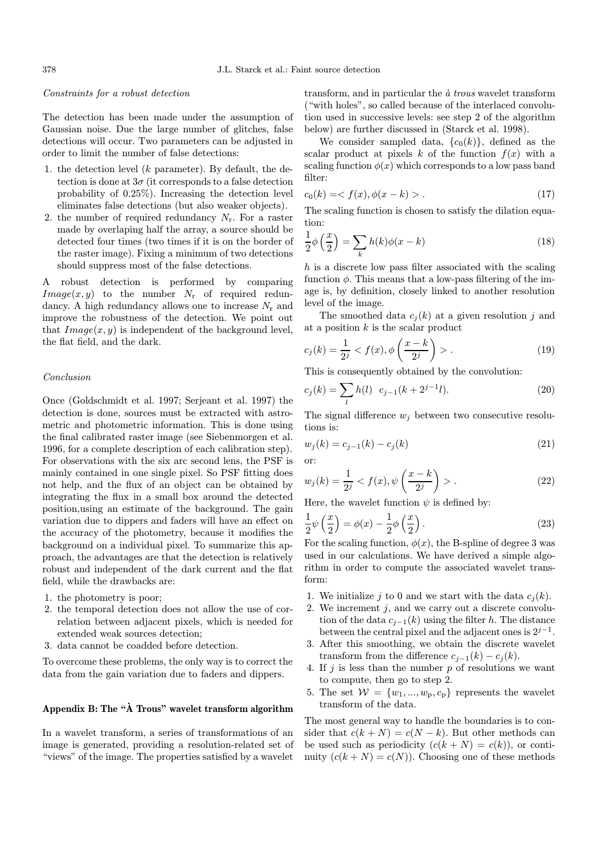#### Constraints for a robust detection

The detection has been made under the assumption of Gaussian noise. Due the large number of glitches, false detections will occur. Two parameters can be adjusted in order to limit the number of false detections:

- 1. the detection level  $(k$  parameter). By default, the detection is done at  $3\sigma$  (it corresponds to a false detection probability of 0.25%). Increasing the detection level eliminates false detections (but also weaker objects).
- 2. the number of required redundancy  $N_r$ . For a raster made by overlaping half the array, a source should be detected four times (two times if it is on the border of the raster image). Fixing a minimum of two detections should suppress most of the false detections.

A robust detection is performed by comparing  $Image(x, y)$  to the number  $N_r$  of required redundancy. A high redundancy allows one to increase  $N_r$  and improve the robustness of the detection. We point out that  $Image(x, y)$  is independent of the background level, the flat field, and the dark.

#### Conclusion

Once (Goldschmidt et al. 1997; Serjeant et al. 1997) the detection is done, sources must be extracted with astrometric and photometric information. This is done using the final calibrated raster image (see Siebenmorgen et al. 1996, for a complete description of each calibration step). For observations with the six arc second lens, the PSF is mainly contained in one single pixel. So PSF fitting does not help, and the flux of an object can be obtained by integrating the flux in a small box around the detected position,using an estimate of the background. The gain variation due to dippers and faders will have an effect on the accuracy of the photometry, because it modifies the background on a individual pixel. To summarize this approach, the advantages are that the detection is relatively robust and independent of the dark current and the flat field, while the drawbacks are:

- 1. the photometry is poor;
- 2. the temporal detection does not allow the use of correlation between adjacent pixels, which is needed for extended weak sources detection;
- 3. data cannot be coadded before detection.

To overcome these problems, the only way is to correct the data from the gain variation due to faders and dippers.

# Appendix B: The " $\mathring{A}$  Trous" wavelet transform algorithm

In a wavelet transform, a series of transformations of an image is generated, providing a resolution-related set of "views" of the image. The properties satisfied by a wavelet

transform, and in particular the  $\dot{a}$  trous wavelet transform ("with holes", so called because of the interlaced convolution used in successive levels: see step 2 of the algorithm below) are further discussed in (Starck et al. 1998).

We consider sampled data,  ${c_0(k)}$ , defined as the scalar product at pixels k of the function  $f(x)$  with a scaling function  $\phi(x)$  which corresponds to a low pass band filter:

$$
c_0(k) = \langle f(x), \phi(x - k) \rangle. \tag{17}
$$

The scaling function is chosen to satisfy the dilation equation:

$$
\frac{1}{2}\phi\left(\frac{x}{2}\right) = \sum_{k} h(k)\phi(x-k)
$$
\n(18)

h is a discrete low pass filter associated with the scaling function  $\phi$ . This means that a low-pass filtering of the image is, by definition, closely linked to another resolution level of the image.

The smoothed data  $c_i(k)$  at a given resolution j and at a position  $k$  is the scalar product

$$
c_j(k) = \frac{1}{2^j} < f(x), \phi\left(\frac{x-k}{2^j}\right) > . \tag{19}
$$

This is consequently obtained by the convolution:

$$
c_j(k) = \sum_l h(l) \ c_{j-1}(k+2^{j-1}l). \tag{20}
$$

The signal difference  $w_i$  between two consecutive resolutions is:

$$
w_j(k) = c_{j-1}(k) - c_j(k)
$$
 (21)  
or:

$$
w_j(k) = \frac{1}{2^j} < f(x), \psi\left(\frac{x-k}{2^j}\right) > . \tag{22}
$$

Here, the wavelet function  $\psi$  is defined by:

$$
\frac{1}{2}\psi\left(\frac{x}{2}\right) = \phi(x) - \frac{1}{2}\phi\left(\frac{x}{2}\right). \tag{23}
$$

For the scaling function,  $\phi(x)$ , the B-spline of degree 3 was used in our calculations. We have derived a simple algorithm in order to compute the associated wavelet transform:

- 1. We initialize j to 0 and we start with the data  $c_i(k)$ .
- 2. We increment  $j$ , and we carry out a discrete convolution of the data  $c_{i-1}(k)$  using the filter h. The distance between the central pixel and the adjacent ones is  $2^{j-1}$ .
- 3. After this smoothing, we obtain the discrete wavelet transform from the difference  $c_{i-1}(k) - c_i(k)$ .
- 4. If  $j$  is less than the number  $p$  of resolutions we want to compute, then go to step 2.
- 5. The set  $W = \{w_1, ..., w_p, c_p\}$  represents the wavelet transform of the data.

The most general way to handle the boundaries is to consider that  $c(k+N) = c(N-k)$ . But other methods can be used such as periodicity  $(c(k+N) = c(k))$ , or continuity  $(c(k+N) = c(N))$ . Choosing one of these methods